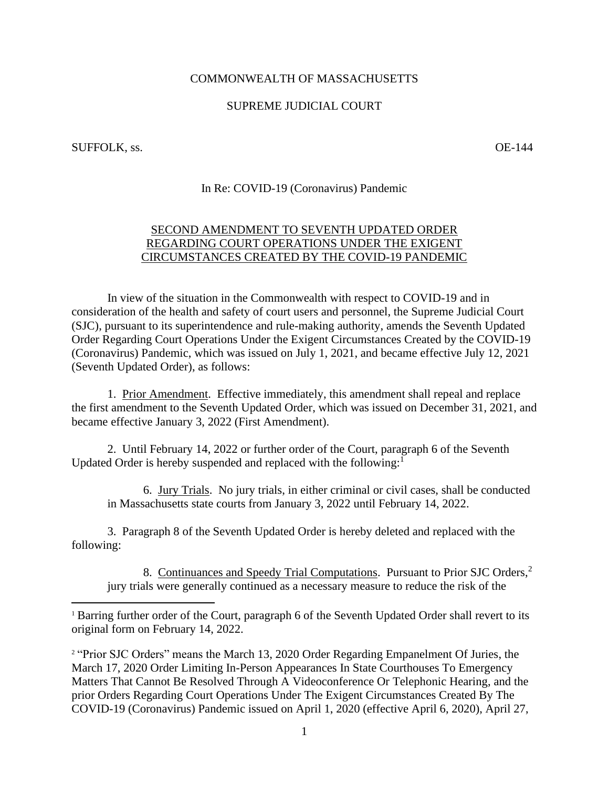## COMMONWEALTH OF MASSACHUSETTS

## SUPREME JUDICIAL COURT

SUFFOLK, ss.  $OE-144$ 

## In Re: COVID-19 (Coronavirus) Pandemic

## SECOND AMENDMENT TO SEVENTH UPDATED ORDER REGARDING COURT OPERATIONS UNDER THE EXIGENT CIRCUMSTANCES CREATED BY THE COVID-19 PANDEMIC

In view of the situation in the Commonwealth with respect to COVID-19 and in consideration of the health and safety of court users and personnel, the Supreme Judicial Court (SJC), pursuant to its superintendence and rule-making authority, amends the Seventh Updated Order Regarding Court Operations Under the Exigent Circumstances Created by the COVID-19 (Coronavirus) Pandemic, which was issued on July 1, 2021, and became effective July 12, 2021 (Seventh Updated Order), as follows:

1. Prior Amendment. Effective immediately, this amendment shall repeal and replace the first amendment to the Seventh Updated Order, which was issued on December 31, 2021, and became effective January 3, 2022 (First Amendment).

2. Until February 14, 2022 or further order of the Court, paragraph 6 of the Seventh Updated Order is hereby suspended and replaced with the following:<sup>1</sup>

6. Jury Trials. No jury trials, in either criminal or civil cases, shall be conducted in Massachusetts state courts from January 3, 2022 until February 14, 2022.

3. Paragraph 8 of the Seventh Updated Order is hereby deleted and replaced with the following:

8. Continuances and Speedy Trial Computations. Pursuant to Prior SJC Orders,<sup>2</sup> jury trials were generally continued as a necessary measure to reduce the risk of the

<sup>2</sup> "Prior SJC Orders" means the March 13, 2020 Order Regarding Empanelment Of Juries, the March 17, 2020 Order Limiting In-Person Appearances In State Courthouses To Emergency Matters That Cannot Be Resolved Through A Videoconference Or Telephonic Hearing, and the prior Orders Regarding Court Operations Under The Exigent Circumstances Created By The COVID-19 (Coronavirus) Pandemic issued on April 1, 2020 (effective April 6, 2020), April 27,

<sup>&</sup>lt;sup>1</sup> Barring further order of the Court, paragraph 6 of the Seventh Updated Order shall revert to its original form on February 14, 2022.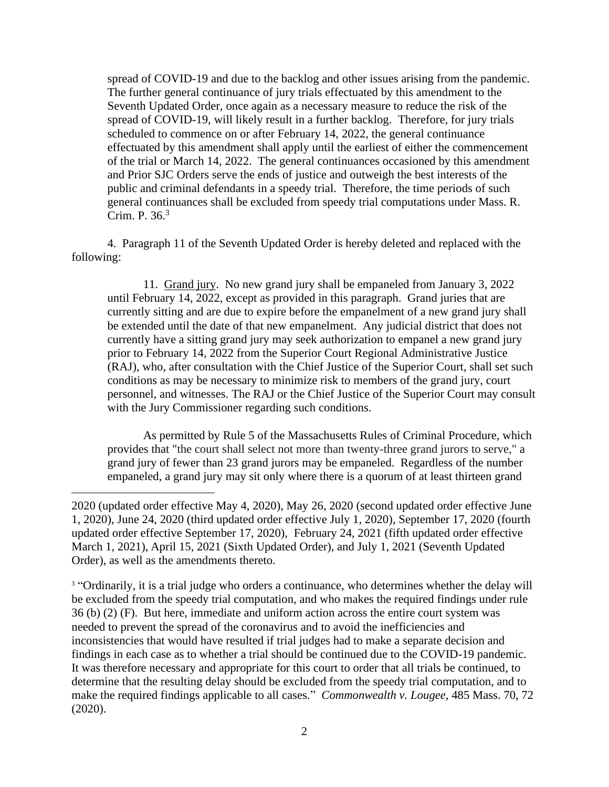spread of COVID-19 and due to the backlog and other issues arising from the pandemic. The further general continuance of jury trials effectuated by this amendment to the Seventh Updated Order, once again as a necessary measure to reduce the risk of the spread of COVID-19, will likely result in a further backlog. Therefore, for jury trials scheduled to commence on or after February 14, 2022, the general continuance effectuated by this amendment shall apply until the earliest of either the commencement of the trial or March 14, 2022. The general continuances occasioned by this amendment and Prior SJC Orders serve the ends of justice and outweigh the best interests of the public and criminal defendants in a speedy trial. Therefore, the time periods of such general continuances shall be excluded from speedy trial computations under Mass. R. Crim. P. 36. 3

4. Paragraph 11 of the Seventh Updated Order is hereby deleted and replaced with the following:

11. Grand jury. No new grand jury shall be empaneled from January 3, 2022 until February 14, 2022, except as provided in this paragraph. Grand juries that are currently sitting and are due to expire before the empanelment of a new grand jury shall be extended until the date of that new empanelment. Any judicial district that does not currently have a sitting grand jury may seek authorization to empanel a new grand jury prior to February 14, 2022 from the Superior Court Regional Administrative Justice (RAJ), who, after consultation with the Chief Justice of the Superior Court, shall set such conditions as may be necessary to minimize risk to members of the grand jury, court personnel, and witnesses. The RAJ or the Chief Justice of the Superior Court may consult with the Jury Commissioner regarding such conditions.

As permitted by Rule 5 of the Massachusetts Rules of Criminal Procedure, which provides that "the court shall select not more than twenty-three grand jurors to serve," a grand jury of fewer than 23 grand jurors may be empaneled. Regardless of the number empaneled, a grand jury may sit only where there is a quorum of at least thirteen grand

<sup>3</sup> "Ordinarily, it is a trial judge who orders a continuance, who determines whether the delay will be excluded from the speedy trial computation, and who makes the required findings under rule 36 (b) (2) (F). But here, immediate and uniform action across the entire court system was needed to prevent the spread of the coronavirus and to avoid the inefficiencies and inconsistencies that would have resulted if trial judges had to make a separate decision and findings in each case as to whether a trial should be continued due to the COVID-19 pandemic. It was therefore necessary and appropriate for this court to order that all trials be continued, to determine that the resulting delay should be excluded from the speedy trial computation, and to make the required findings applicable to all cases." *Commonwealth v. Lougee*, 485 Mass. 70, 72 (2020).

<sup>2020 (</sup>updated order effective May 4, 2020), May 26, 2020 (second updated order effective June 1, 2020), June 24, 2020 (third updated order effective July 1, 2020), September 17, 2020 (fourth updated order effective September 17, 2020), February 24, 2021 (fifth updated order effective March 1, 2021), April 15, 2021 (Sixth Updated Order), and July 1, 2021 (Seventh Updated Order), as well as the amendments thereto.